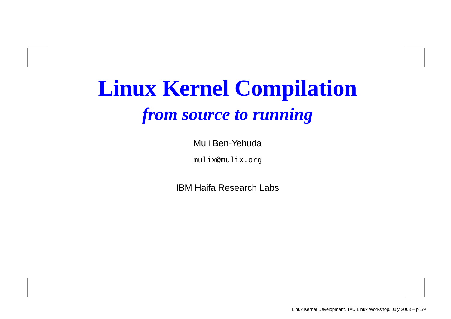## **Linux Kernel Compilation** *from source to running*

Muli Ben-Yehuda

mulix@mulix.org

IBM Haifa Research Labs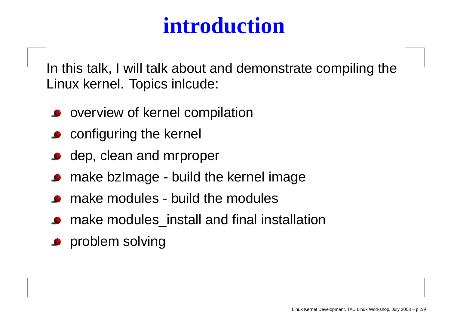#### **introduction**

In this talk, I will talk about and demonstrate compiling the Linux kernel. Topics inlcude:

- overview of kernel compilation
- **Configuring the kernel**
- dep, clean and mrproper
- make bzImage build the kernel image
- make modules build the modules
- make modules\_install and final installation
- problem solving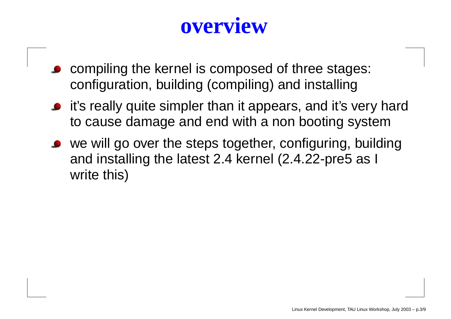#### **overview**

- compiling the kernel is composed of three stages: configuration, building (compiling) and installing
- it's really quite simpler than it appears, and it's very hard to cause damage and end with <sup>a</sup> non booting system
- we will go over the steps together, configuring, building and installing the latest 2.4 kernel (2.4.22-pre5 as I write this)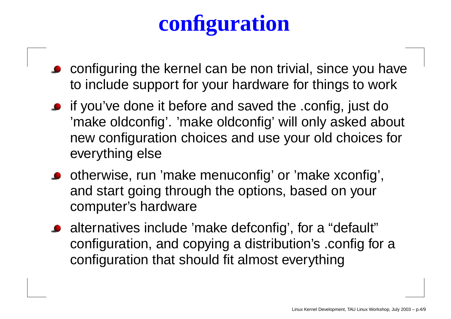# **configuration**

- configuring the kernel can be non trivial, since you ha v e to include support for your hardware for things to work
- if you'v e done it before and sa ved the .config, just do 'make oldconfig'. 'make oldconfig' will only asked about ne w configuration choices and use your old choices for e verything else
- otherwise, run 'mak e menuconfig' or 'mak e xconfig', and star t going through the options, based on your computer' s hardware
- alternatives include 'mak e defconfig', for a "default" configuration, and copying a distribution' s .config for a configuration that should fit almost everything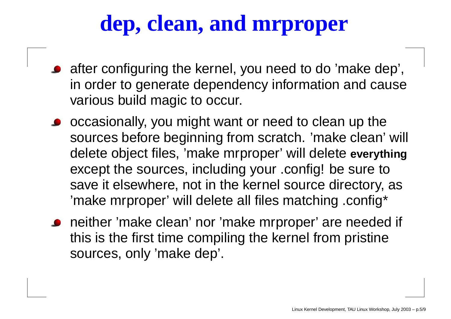### **dep, clean, and mrproper**

- after configuring the kernel, you need to do 'make dep', in order to generate dependency information and cause various build magic to occur.
- o occasionally, you might want or need to clean up the sources before beginning from scratch. 'make clean' will delete object files, 'make mrproper' will delete **everything** except the sources, including your .config! be sure to save it elsewhere, not in the kernel source directory, as 'make mrproper' will delete all files matching .config\*
- neither 'make clean' nor 'make mrproper' are needed if this is the first time compiling the kernel from pristine sources, only 'make dep'.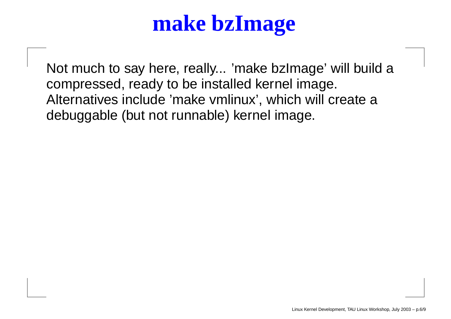## **make bzImage**

Not much to say here, really... 'make bzImage' will build <sup>a</sup> compressed, ready to be installed kernel image. Alternatives include 'make vmlinux', which will create <sup>a</sup> debuggable (but not runnable) kernel image.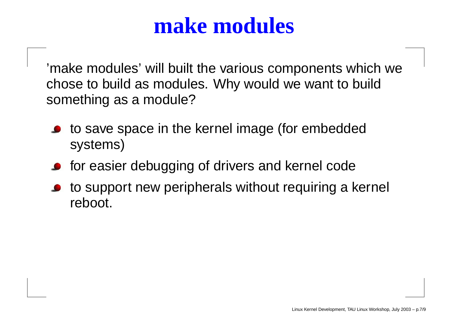#### **make modules**

'make modules' will built the various components which we chose to build as modules. Why would we want to build something as <sup>a</sup> module?

- to save space in the kernel image (for embedded systems)
- for easier debugging of drivers and kernel code
- to support new peripherals without requiring <sup>a</sup> kernel reboot.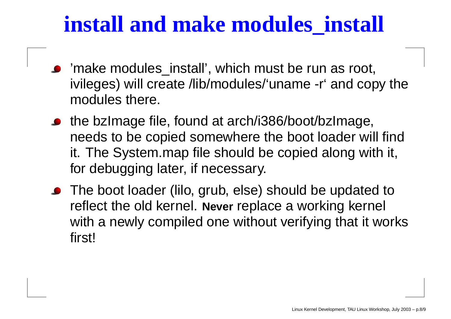#### **install and make modules\_install**

- 'make modules\_install', which must be run as root, ivileges) will create /lib/modules/'uname -r' and copy the modules there.
- the bzImage file, found at arch/i386/boot/bzImage, needs to be copied somewhere the boot loader will find it. The System.map file should be copied along with it, for debugging later, if necessary.
- The boot loader (lilo, grub, else) should be updated to reflect the old kernel. **Never** replace <sup>a</sup> working kernel with <sup>a</sup> newly compiled one without verifying that it works first!